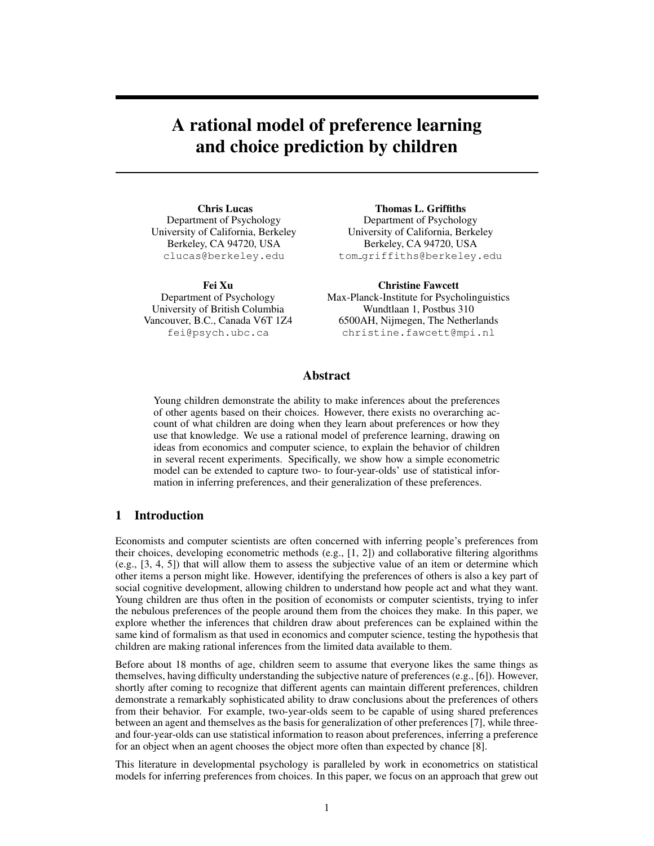# A rational model of preference learning and choice prediction by children

Chris Lucas Department of Psychology University of California, Berkeley Berkeley, CA 94720, USA clucas@berkeley.edu

Fei Xu Department of Psychology University of British Columbia Vancouver, B.C., Canada V6T 1Z4 fei@psych.ubc.ca

Thomas L. Griffiths Department of Psychology University of California, Berkeley Berkeley, CA 94720, USA tom griffiths@berkeley.edu

Christine Fawcett Max-Planck-Institute for Psycholinguistics Wundtlaan 1, Postbus 310 6500AH, Nijmegen, The Netherlands christine.fawcett@mpi.nl

## Abstract

Young children demonstrate the ability to make inferences about the preferences of other agents based on their choices. However, there exists no overarching account of what children are doing when they learn about preferences or how they use that knowledge. We use a rational model of preference learning, drawing on ideas from economics and computer science, to explain the behavior of children in several recent experiments. Specifically, we show how a simple econometric model can be extended to capture two- to four-year-olds' use of statistical information in inferring preferences, and their generalization of these preferences.

# 1 Introduction

Economists and computer scientists are often concerned with inferring people's preferences from their choices, developing econometric methods (e.g., [1, 2]) and collaborative filtering algorithms (e.g., [3, 4, 5]) that will allow them to assess the subjective value of an item or determine which other items a person might like. However, identifying the preferences of others is also a key part of social cognitive development, allowing children to understand how people act and what they want. Young children are thus often in the position of economists or computer scientists, trying to infer the nebulous preferences of the people around them from the choices they make. In this paper, we explore whether the inferences that children draw about preferences can be explained within the same kind of formalism as that used in economics and computer science, testing the hypothesis that children are making rational inferences from the limited data available to them.

Before about 18 months of age, children seem to assume that everyone likes the same things as themselves, having difficulty understanding the subjective nature of preferences (e.g., [6]). However, shortly after coming to recognize that different agents can maintain different preferences, children demonstrate a remarkably sophisticated ability to draw conclusions about the preferences of others from their behavior. For example, two-year-olds seem to be capable of using shared preferences between an agent and themselves as the basis for generalization of other preferences [7], while threeand four-year-olds can use statistical information to reason about preferences, inferring a preference for an object when an agent chooses the object more often than expected by chance [8].

This literature in developmental psychology is paralleled by work in econometrics on statistical models for inferring preferences from choices. In this paper, we focus on an approach that grew out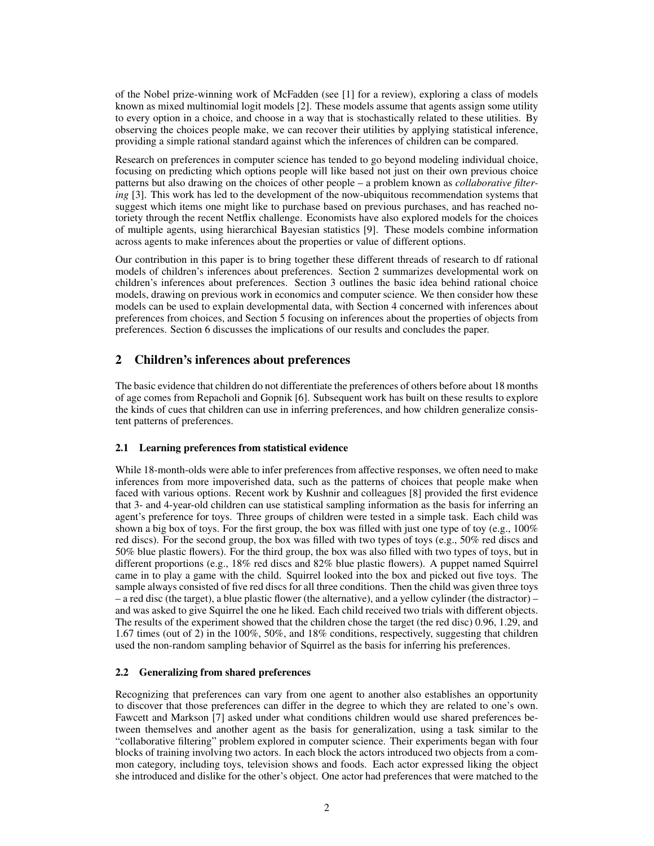of the Nobel prize-winning work of McFadden (see [1] for a review), exploring a class of models known as mixed multinomial logit models [2]. These models assume that agents assign some utility to every option in a choice, and choose in a way that is stochastically related to these utilities. By observing the choices people make, we can recover their utilities by applying statistical inference, providing a simple rational standard against which the inferences of children can be compared.

Research on preferences in computer science has tended to go beyond modeling individual choice, focusing on predicting which options people will like based not just on their own previous choice patterns but also drawing on the choices of other people – a problem known as *collaborative filtering* [3]. This work has led to the development of the now-ubiquitous recommendation systems that suggest which items one might like to purchase based on previous purchases, and has reached notoriety through the recent Netflix challenge. Economists have also explored models for the choices of multiple agents, using hierarchical Bayesian statistics [9]. These models combine information across agents to make inferences about the properties or value of different options.

Our contribution in this paper is to bring together these different threads of research to df rational models of children's inferences about preferences. Section 2 summarizes developmental work on children's inferences about preferences. Section 3 outlines the basic idea behind rational choice models, drawing on previous work in economics and computer science. We then consider how these models can be used to explain developmental data, with Section 4 concerned with inferences about preferences from choices, and Section 5 focusing on inferences about the properties of objects from preferences. Section 6 discusses the implications of our results and concludes the paper.

# 2 Children's inferences about preferences

The basic evidence that children do not differentiate the preferences of others before about 18 months of age comes from Repacholi and Gopnik [6]. Subsequent work has built on these results to explore the kinds of cues that children can use in inferring preferences, and how children generalize consistent patterns of preferences.

## 2.1 Learning preferences from statistical evidence

While 18-month-olds were able to infer preferences from affective responses, we often need to make inferences from more impoverished data, such as the patterns of choices that people make when faced with various options. Recent work by Kushnir and colleagues [8] provided the first evidence that 3- and 4-year-old children can use statistical sampling information as the basis for inferring an agent's preference for toys. Three groups of children were tested in a simple task. Each child was shown a big box of toys. For the first group, the box was filled with just one type of toy (e.g., 100% red discs). For the second group, the box was filled with two types of toys (e.g., 50% red discs and 50% blue plastic flowers). For the third group, the box was also filled with two types of toys, but in different proportions (e.g., 18% red discs and 82% blue plastic flowers). A puppet named Squirrel came in to play a game with the child. Squirrel looked into the box and picked out five toys. The sample always consisted of five red discs for all three conditions. Then the child was given three toys – a red disc (the target), a blue plastic flower (the alternative), and a yellow cylinder (the distractor) – and was asked to give Squirrel the one he liked. Each child received two trials with different objects. The results of the experiment showed that the children chose the target (the red disc) 0.96, 1.29, and 1.67 times (out of 2) in the 100%, 50%, and 18% conditions, respectively, suggesting that children used the non-random sampling behavior of Squirrel as the basis for inferring his preferences.

## 2.2 Generalizing from shared preferences

Recognizing that preferences can vary from one agent to another also establishes an opportunity to discover that those preferences can differ in the degree to which they are related to one's own. Fawcett and Markson [7] asked under what conditions children would use shared preferences between themselves and another agent as the basis for generalization, using a task similar to the "collaborative filtering" problem explored in computer science. Their experiments began with four blocks of training involving two actors. In each block the actors introduced two objects from a common category, including toys, television shows and foods. Each actor expressed liking the object she introduced and dislike for the other's object. One actor had preferences that were matched to the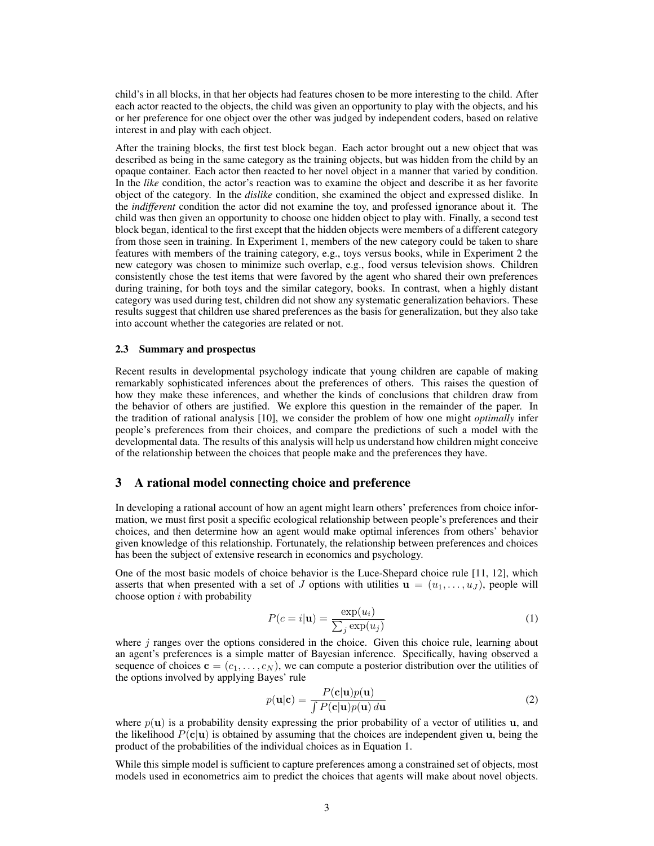child's in all blocks, in that her objects had features chosen to be more interesting to the child. After each actor reacted to the objects, the child was given an opportunity to play with the objects, and his or her preference for one object over the other was judged by independent coders, based on relative interest in and play with each object.

After the training blocks, the first test block began. Each actor brought out a new object that was described as being in the same category as the training objects, but was hidden from the child by an opaque container. Each actor then reacted to her novel object in a manner that varied by condition. In the *like* condition, the actor's reaction was to examine the object and describe it as her favorite object of the category. In the *dislike* condition, she examined the object and expressed dislike. In the *indifferent* condition the actor did not examine the toy, and professed ignorance about it. The child was then given an opportunity to choose one hidden object to play with. Finally, a second test block began, identical to the first except that the hidden objects were members of a different category from those seen in training. In Experiment 1, members of the new category could be taken to share features with members of the training category, e.g., toys versus books, while in Experiment 2 the new category was chosen to minimize such overlap, e.g., food versus television shows. Children consistently chose the test items that were favored by the agent who shared their own preferences during training, for both toys and the similar category, books. In contrast, when a highly distant category was used during test, children did not show any systematic generalization behaviors. These results suggest that children use shared preferences as the basis for generalization, but they also take into account whether the categories are related or not.

#### 2.3 Summary and prospectus

Recent results in developmental psychology indicate that young children are capable of making remarkably sophisticated inferences about the preferences of others. This raises the question of how they make these inferences, and whether the kinds of conclusions that children draw from the behavior of others are justified. We explore this question in the remainder of the paper. In the tradition of rational analysis [10], we consider the problem of how one might *optimally* infer people's preferences from their choices, and compare the predictions of such a model with the developmental data. The results of this analysis will help us understand how children might conceive of the relationship between the choices that people make and the preferences they have.

## 3 A rational model connecting choice and preference

In developing a rational account of how an agent might learn others' preferences from choice information, we must first posit a specific ecological relationship between people's preferences and their choices, and then determine how an agent would make optimal inferences from others' behavior given knowledge of this relationship. Fortunately, the relationship between preferences and choices has been the subject of extensive research in economics and psychology.

One of the most basic models of choice behavior is the Luce-Shepard choice rule [11, 12], which asserts that when presented with a set of J options with utilities  $\mathbf{u} = (u_1, \dots, u_J)$ , people will choose option  $i$  with probability

$$
P(c=i|\mathbf{u}) = \frac{\exp(u_i)}{\sum_j \exp(u_j)}
$$
(1)

where  $j$  ranges over the options considered in the choice. Given this choice rule, learning about an agent's preferences is a simple matter of Bayesian inference. Specifically, having observed a sequence of choices  $\mathbf{c} = (c_1, \ldots, c_N)$ , we can compute a posterior distribution over the utilities of the options involved by applying Bayes' rule

$$
p(\mathbf{u}|\mathbf{c}) = \frac{P(\mathbf{c}|\mathbf{u})p(\mathbf{u})}{\int P(\mathbf{c}|\mathbf{u})p(\mathbf{u}) \, d\mathbf{u}}\tag{2}
$$

where  $p(u)$  is a probability density expressing the prior probability of a vector of utilities u, and the likelihood  $P(c|u)$  is obtained by assuming that the choices are independent given u, being the product of the probabilities of the individual choices as in Equation 1.

While this simple model is sufficient to capture preferences among a constrained set of objects, most models used in econometrics aim to predict the choices that agents will make about novel objects.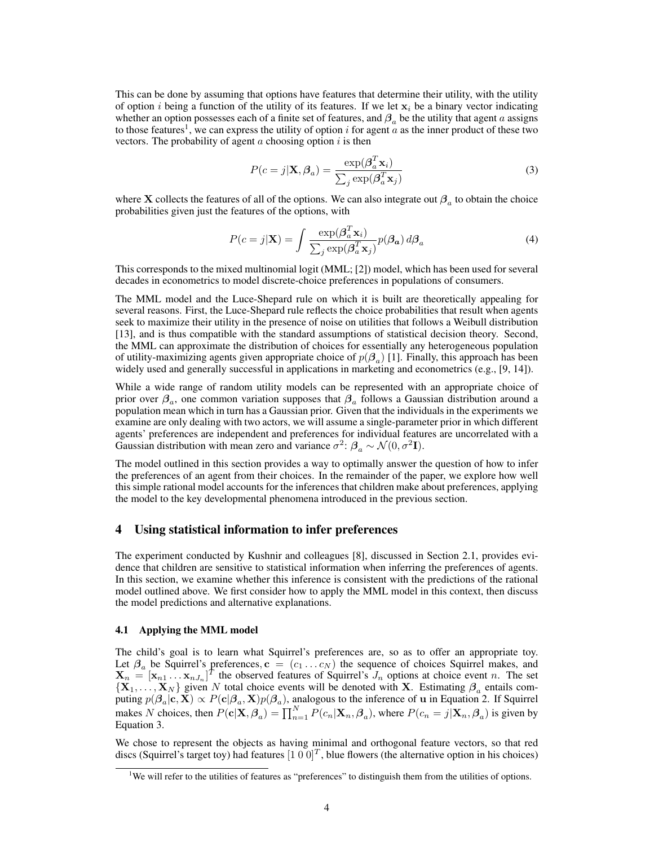This can be done by assuming that options have features that determine their utility, with the utility of option i being a function of the utility of its features. If we let  $x_i$  be a binary vector indicating whether an option possesses each of a finite set of features, and  $\beta_a$  be the utility that agent a assigns to those features<sup>1</sup>, we can express the utility of option i for agent  $\alpha$  as the inner product of these two vectors. The probability of agent  $a$  choosing option  $i$  is then

$$
P(c=j|\mathbf{X}, \beta_a) = \frac{\exp(\beta_a^T \mathbf{x}_i)}{\sum_j \exp(\beta_a^T \mathbf{x}_j)}
$$
(3)

where X collects the features of all of the options. We can also integrate out  $\beta_a$  to obtain the choice probabilities given just the features of the options, with

$$
P(c=j|\mathbf{X}) = \int \frac{\exp(\boldsymbol{\beta}_a^T \mathbf{x}_i)}{\sum_j \exp(\boldsymbol{\beta}_a^T \mathbf{x}_j)} p(\boldsymbol{\beta}_a) d\boldsymbol{\beta}_a \tag{4}
$$

This corresponds to the mixed multinomial logit (MML; [2]) model, which has been used for several decades in econometrics to model discrete-choice preferences in populations of consumers.

The MML model and the Luce-Shepard rule on which it is built are theoretically appealing for several reasons. First, the Luce-Shepard rule reflects the choice probabilities that result when agents seek to maximize their utility in the presence of noise on utilities that follows a Weibull distribution [13], and is thus compatible with the standard assumptions of statistical decision theory. Second, the MML can approximate the distribution of choices for essentially any heterogeneous population of utility-maximizing agents given appropriate choice of  $p(\beta_a)$  [1]. Finally, this approach has been widely used and generally successful in applications in marketing and econometrics (e.g., [9, 14]).

While a wide range of random utility models can be represented with an appropriate choice of prior over  $\beta_a$ , one common variation supposes that  $\beta_a$  follows a Gaussian distribution around a population mean which in turn has a Gaussian prior. Given that the individuals in the experiments we examine are only dealing with two actors, we will assume a single-parameter prior in which different agents' preferences are independent and preferences for individual features are uncorrelated with a Gaussian distribution with mean zero and variance  $\sigma^2$ :  $\beta_a \sim \mathcal{N}(0, \sigma^2 I)$ .

The model outlined in this section provides a way to optimally answer the question of how to infer the preferences of an agent from their choices. In the remainder of the paper, we explore how well this simple rational model accounts for the inferences that children make about preferences, applying the model to the key developmental phenomena introduced in the previous section.

## 4 Using statistical information to infer preferences

The experiment conducted by Kushnir and colleagues [8], discussed in Section 2.1, provides evidence that children are sensitive to statistical information when inferring the preferences of agents. In this section, we examine whether this inference is consistent with the predictions of the rational model outlined above. We first consider how to apply the MML model in this context, then discuss the model predictions and alternative explanations.

#### 4.1 Applying the MML model

The child's goal is to learn what Squirrel's preferences are, so as to offer an appropriate toy. Let  $\beta_a$  be Squirrel's preferences,  $c = (c_1 \dots c_N)$  the sequence of choices Squirrel makes, and  $\mathbf{X}_n = [\mathbf{x}_{n1} \dots \mathbf{x}_{nJ_n}]^T$  the observed features of Squirrel's  $J_n$  options at choice event n. The set  $\{X_1, \ldots, X_N\}$  given N total choice events will be denoted with X. Estimating  $\beta_a$  entails computing  $p(\beta_a|c,\mathbf{X}) \propto P(c|\beta_a,\mathbf{X})p(\beta_a)$ , analogous to the inference of **u** in Equation 2. If Squirrel makes N choices, then  $P(c|\mathbf{X}, \beta_a) = \prod_{n=1}^{N} P(c_n | \mathbf{X}_n, \beta_a)$ , where  $P(c_n = j | \mathbf{X}_n, \beta_a)$  is given by Equation 3.

We chose to represent the objects as having minimal and orthogonal feature vectors, so that red discs (Squirrel's target toy) had features  $[1\ 0\ 0]^T$ , blue flowers (the alternative option in his choices)

<sup>&</sup>lt;sup>1</sup>We will refer to the utilities of features as "preferences" to distinguish them from the utilities of options.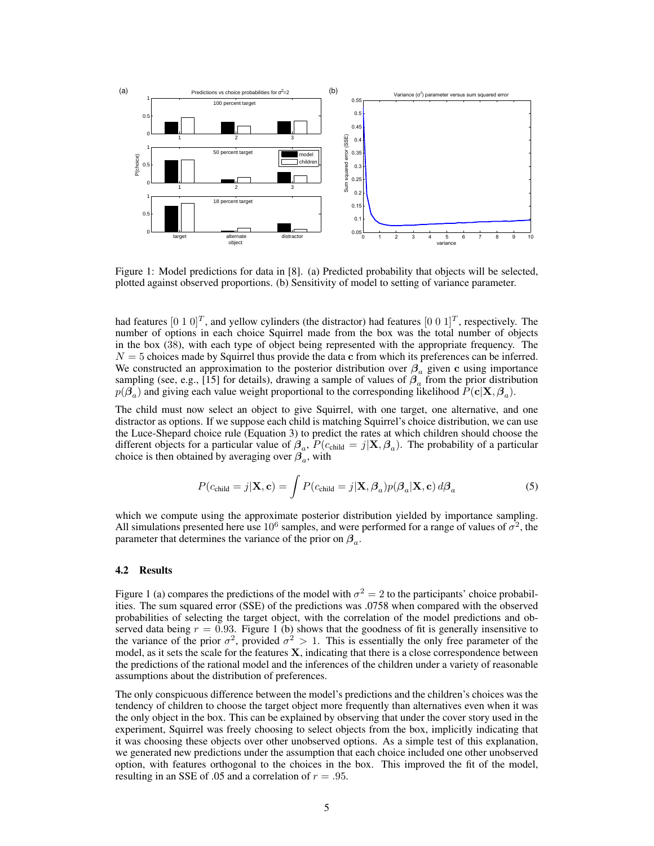

Figure 1: Model predictions for data in [8]. (a) Predicted probability that objects will be selected, plotted against observed proportions. (b) Sensitivity of model to setting of variance parameter.

had features  $[0\ 1\ 0]^T$ , and yellow cylinders (the distractor) had features  $[0\ 0\ 1]^T$ , respectively. The number of options in each choice Squirrel made from the box was the total number of objects in the box (38), with each type of object being represented with the appropriate frequency. The  $N = 5$  choices made by Squirrel thus provide the data c from which its preferences can be inferred. We constructed an approximation to the posterior distribution over  $\beta_a$  given c using importance sampling (see, e.g., [15] for details), drawing a sample of values of  $\beta_a$  from the prior distribution  $p(\beta_a)$  and giving each value weight proportional to the corresponding likelihood  $P(\mathbf{c}|\mathbf{X}, \beta_a)$ .

The child must now select an object to give Squirrel, with one target, one alternative, and one distractor as options. If we suppose each child is matching Squirrel's choice distribution, we can use the Luce-Shepard choice rule (Equation 3) to predict the rates at which children should choose the different objects for a particular value of  $\beta_a$ ,  $P(c_{child} = j | \mathbf{X}, \beta_a)$ . The probability of a particular choice is then obtained by averaging over  $\beta_a$ , with

$$
P(c_{\text{child}} = j | \mathbf{X}, \mathbf{c}) = \int P(c_{\text{child}} = j | \mathbf{X}, \beta_a) p(\beta_a | \mathbf{X}, \mathbf{c}) d\beta_a \tag{5}
$$

which we compute using the approximate posterior distribution yielded by importance sampling. All simulations presented here use  $10^6$  samples, and were performed for a range of values of  $\sigma^2$ , the parameter that determines the variance of the prior on  $\beta_a$ .

#### 4.2 Results

Figure 1 (a) compares the predictions of the model with  $\sigma^2 = 2$  to the participants' choice probabilities. The sum squared error (SSE) of the predictions was .0758 when compared with the observed probabilities of selecting the target object, with the correlation of the model predictions and observed data being  $r = 0.93$ . Figure 1 (b) shows that the goodness of fit is generally insensitive to the variance of the prior  $\sigma^2$ , provided  $\sigma^2 > 1$ . This is essentially the only free parameter of the model, as it sets the scale for the features  $X$ , indicating that there is a close correspondence between the predictions of the rational model and the inferences of the children under a variety of reasonable assumptions about the distribution of preferences.

The only conspicuous difference between the model's predictions and the children's choices was the tendency of children to choose the target object more frequently than alternatives even when it was the only object in the box. This can be explained by observing that under the cover story used in the experiment, Squirrel was freely choosing to select objects from the box, implicitly indicating that it was choosing these objects over other unobserved options. As a simple test of this explanation, we generated new predictions under the assumption that each choice included one other unobserved option, with features orthogonal to the choices in the box. This improved the fit of the model, resulting in an SSE of .05 and a correlation of  $r = .95$ .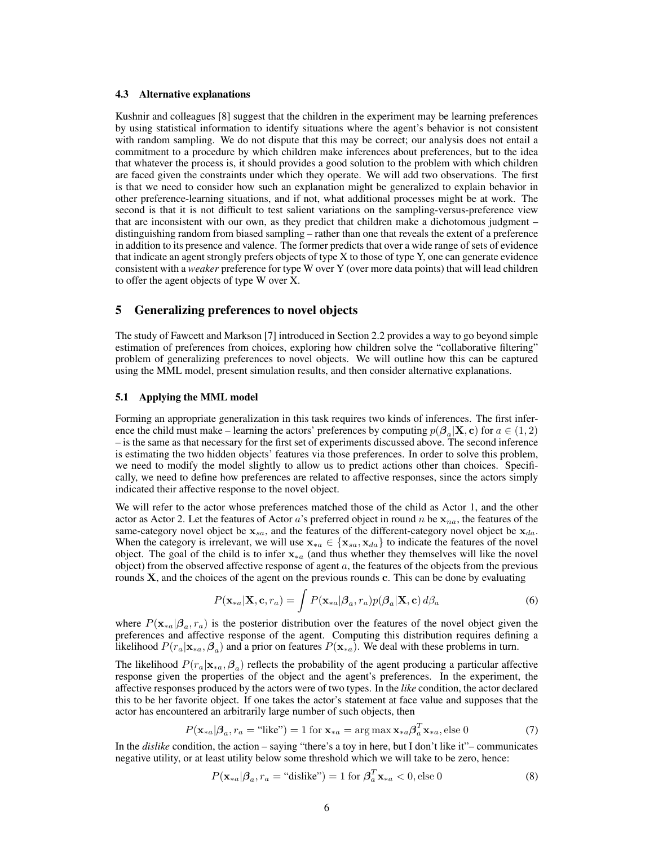### 4.3 Alternative explanations

Kushnir and colleagues [8] suggest that the children in the experiment may be learning preferences by using statistical information to identify situations where the agent's behavior is not consistent with random sampling. We do not dispute that this may be correct; our analysis does not entail a commitment to a procedure by which children make inferences about preferences, but to the idea that whatever the process is, it should provides a good solution to the problem with which children are faced given the constraints under which they operate. We will add two observations. The first is that we need to consider how such an explanation might be generalized to explain behavior in other preference-learning situations, and if not, what additional processes might be at work. The second is that it is not difficult to test salient variations on the sampling-versus-preference view that are inconsistent with our own, as they predict that children make a dichotomous judgment – distinguishing random from biased sampling – rather than one that reveals the extent of a preference in addition to its presence and valence. The former predicts that over a wide range of sets of evidence that indicate an agent strongly prefers objects of type X to those of type Y, one can generate evidence consistent with a *weaker* preference for type W over Y (over more data points) that will lead children to offer the agent objects of type W over X.

## 5 Generalizing preferences to novel objects

The study of Fawcett and Markson [7] introduced in Section 2.2 provides a way to go beyond simple estimation of preferences from choices, exploring how children solve the "collaborative filtering" problem of generalizing preferences to novel objects. We will outline how this can be captured using the MML model, present simulation results, and then consider alternative explanations.

#### 5.1 Applying the MML model

Forming an appropriate generalization in this task requires two kinds of inferences. The first inference the child must make – learning the actors' preferences by computing  $p(\beta_a|\mathbf{X}, \mathbf{c})$  for  $a \in (1, 2)$ – is the same as that necessary for the first set of experiments discussed above. The second inference is estimating the two hidden objects' features via those preferences. In order to solve this problem, we need to modify the model slightly to allow us to predict actions other than choices. Specifically, we need to define how preferences are related to affective responses, since the actors simply indicated their affective response to the novel object.

We will refer to the actor whose preferences matched those of the child as Actor 1, and the other actor as Actor 2. Let the features of Actor a's preferred object in round n be  $x_{na}$ , the features of the same-category novel object be  $x_{sa}$ , and the features of the different-category novel object be  $x_{da}$ . When the category is irrelevant, we will use  $\mathbf{x}_{*a} \in \{\mathbf{x}_{sa}, \mathbf{x}_{da}\}\$  to indicate the features of the novel object. The goal of the child is to infer  $x_{*a}$  (and thus whether they themselves will like the novel object) from the observed affective response of agent  $a$ , the features of the objects from the previous rounds  $X$ , and the choices of the agent on the previous rounds  $c$ . This can be done by evaluating

$$
P(\mathbf{x}_{*a}|\mathbf{X}, \mathbf{c}, r_a) = \int P(\mathbf{x}_{*a}|\boldsymbol{\beta}_a, r_a) p(\boldsymbol{\beta}_a|\mathbf{X}, \mathbf{c}) d\boldsymbol{\beta}_a
$$
 (6)

where  $P(\mathbf{x}_{*a}|\boldsymbol{\beta}_a, r_a)$  is the posterior distribution over the features of the novel object given the preferences and affective response of the agent. Computing this distribution requires defining a likelihood  $P(r_a|\mathbf{x}_{*a}, \beta_a)$  and a prior on features  $P(\mathbf{x}_{*a})$ . We deal with these problems in turn.

The likelihood  $P(r_a|\mathbf{x}_{*a}, \beta_a)$  reflects the probability of the agent producing a particular affective response given the properties of the object and the agent's preferences. In the experiment, the affective responses produced by the actors were of two types. In the *like* condition, the actor declared this to be her favorite object. If one takes the actor's statement at face value and supposes that the actor has encountered an arbitrarily large number of such objects, then

$$
P(\mathbf{x}_{*a}|\boldsymbol{\beta}_a, r_a = \text{``like''}) = 1 \text{ for } \mathbf{x}_{*a} = \arg\max \mathbf{x}_{*a} \boldsymbol{\beta}_a^T \mathbf{x}_{*a}, \text{else } 0 \tag{7}
$$

In the *dislike* condition, the action – saying "there's a toy in here, but I don't like it"– communicates negative utility, or at least utility below some threshold which we will take to be zero, hence:

$$
P(\mathbf{x}_{*a}|\boldsymbol{\beta}_a, r_a = \text{``dislike''}) = 1 \text{ for } \boldsymbol{\beta}_a^T \mathbf{x}_{*a} < 0, \text{else } 0 \tag{8}
$$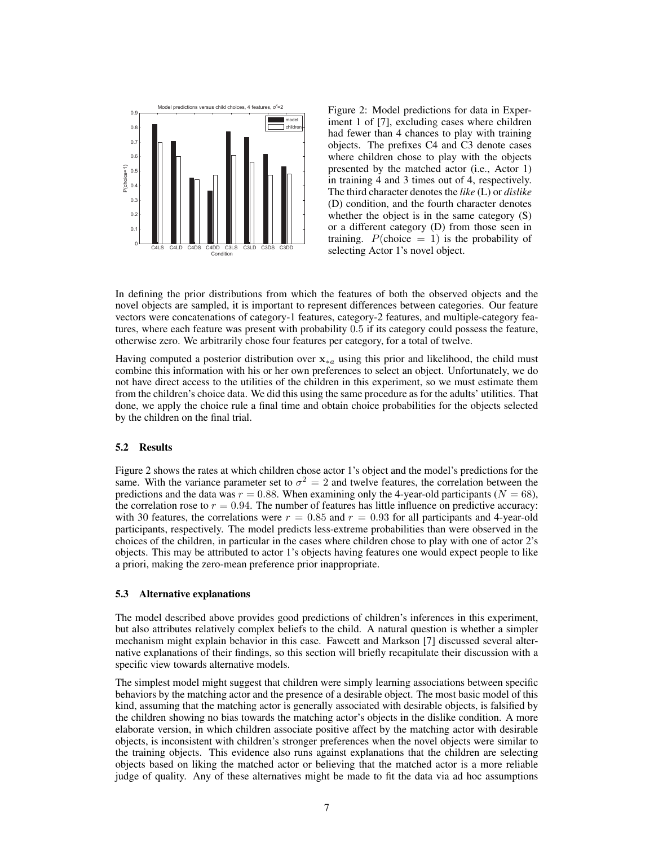

Figure 2: Model predictions for data in Experiment 1 of [7], excluding cases where children had fewer than 4 chances to play with training objects. The prefixes C4 and C3 denote cases where children chose to play with the objects presented by the matched actor (i.e., Actor 1) in training 4 and 3 times out of 4, respectively. The third character denotes the *like* (L) or *dislike* (D) condition, and the fourth character denotes whether the object is in the same category (S) or a different category (D) from those seen in training.  $P(\text{choice} = 1)$  is the probability of selecting Actor 1's novel object.

In defining the prior distributions from which the features of both the observed objects and the novel objects are sampled, it is important to represent differences between categories. Our feature vectors were concatenations of category-1 features, category-2 features, and multiple-category features, where each feature was present with probability 0.5 if its category could possess the feature, otherwise zero. We arbitrarily chose four features per category, for a total of twelve.

Having computed a posterior distribution over  $x_{*a}$  using this prior and likelihood, the child must combine this information with his or her own preferences to select an object. Unfortunately, we do not have direct access to the utilities of the children in this experiment, so we must estimate them from the children's choice data. We did this using the same procedure as for the adults' utilities. That done, we apply the choice rule a final time and obtain choice probabilities for the objects selected by the children on the final trial.

## 5.2 Results

Figure 2 shows the rates at which children chose actor 1's object and the model's predictions for the same. With the variance parameter set to  $\sigma^2 = 2$  and twelve features, the correlation between the predictions and the data was  $r = 0.88$ . When examining only the 4-year-old participants ( $N = 68$ ), the correlation rose to  $r = 0.94$ . The number of features has little influence on predictive accuracy: with 30 features, the correlations were  $r = 0.85$  and  $r = 0.93$  for all participants and 4-year-old participants, respectively. The model predicts less-extreme probabilities than were observed in the choices of the children, in particular in the cases where children chose to play with one of actor 2's objects. This may be attributed to actor 1's objects having features one would expect people to like a priori, making the zero-mean preference prior inappropriate.

#### 5.3 Alternative explanations

The model described above provides good predictions of children's inferences in this experiment, but also attributes relatively complex beliefs to the child. A natural question is whether a simpler mechanism might explain behavior in this case. Fawcett and Markson [7] discussed several alternative explanations of their findings, so this section will briefly recapitulate their discussion with a specific view towards alternative models.

The simplest model might suggest that children were simply learning associations between specific behaviors by the matching actor and the presence of a desirable object. The most basic model of this kind, assuming that the matching actor is generally associated with desirable objects, is falsified by the children showing no bias towards the matching actor's objects in the dislike condition. A more elaborate version, in which children associate positive affect by the matching actor with desirable objects, is inconsistent with children's stronger preferences when the novel objects were similar to the training objects. This evidence also runs against explanations that the children are selecting objects based on liking the matched actor or believing that the matched actor is a more reliable judge of quality. Any of these alternatives might be made to fit the data via ad hoc assumptions